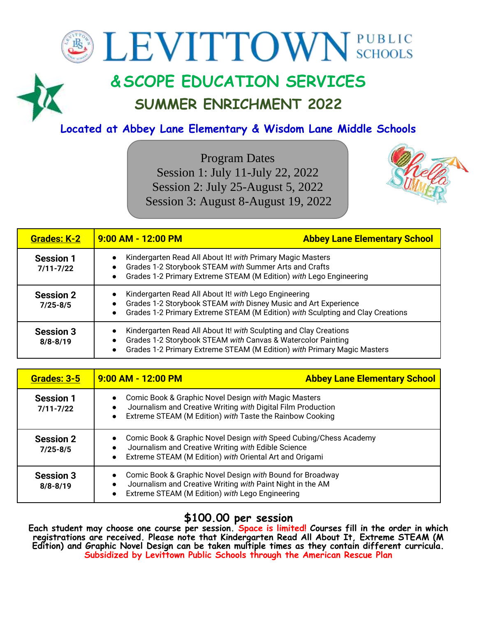# **BEVITTOWN** SCHOOLS

## **&SCOPE EDUCATION SERVICES SUMMER ENRICHMENT 2022**

## **Located at Abbey Lane Elementary & Wisdom Lane Middle Schools**

Program Dates Session 1: July 11-July 22, 2022 Session 2: July 25-August 5, 2022 Session 3: August 8-August 19, 2022



| <b>Grades: K-2</b>                | $9:00$ AM - 12:00 PM                                                                                                                                                                                         | <b>Abbey Lane Elementary School</b> |
|-----------------------------------|--------------------------------------------------------------------------------------------------------------------------------------------------------------------------------------------------------------|-------------------------------------|
| <b>Session 1</b><br>$7/11 - 7/22$ | Kindergarten Read All About It! with Primary Magic Masters<br>Grades 1-2 Storybook STEAM with Summer Arts and Crafts<br>Grades 1-2 Primary Extreme STEAM (M Edition) with Lego Engineering                   |                                     |
| <b>Session 2</b><br>$7/25 - 8/5$  | Kindergarten Read All About It! with Lego Engineering<br>Grades 1-2 Storybook STEAM with Disney Music and Art Experience<br>Grades 1-2 Primary Extreme STEAM (M Edition) with Sculpting and Clay Creations   |                                     |
| <b>Session 3</b><br>$8/8 - 8/19$  | Kindergarten Read All About It! with Sculpting and Clay Creations<br>Grades 1-2 Storybook STEAM with Canvas & Watercolor Painting<br>Grades 1-2 Primary Extreme STEAM (M Edition) with Primary Magic Masters |                                     |

| <b>Grades: 3-5</b>                | $9:00$ AM - 12:00 PM                                                                                                                                                                             | <b>Abbey Lane Elementary School</b>                                                                                                                                        |  |
|-----------------------------------|--------------------------------------------------------------------------------------------------------------------------------------------------------------------------------------------------|----------------------------------------------------------------------------------------------------------------------------------------------------------------------------|--|
| <b>Session 1</b><br>$7/11 - 7/22$ | Comic Book & Graphic Novel Design with Magic Masters<br>Journalism and Creative Writing with Digital Film Production<br>Extreme STEAM (M Edition) with Taste the Rainbow Cooking                 |                                                                                                                                                                            |  |
| <b>Session 2</b><br>$7/25 - 8/5$  | Comic Book & Graphic Novel Design with Speed Cubing/Chess Academy<br>Journalism and Creative Writing with Edible Science<br>Extreme STEAM (M Edition) with Oriental Art and Origami<br>$\bullet$ |                                                                                                                                                                            |  |
| <b>Session 3</b><br>$8/8 - 8/19$  | $\bullet$                                                                                                                                                                                        | Comic Book & Graphic Novel Design with Bound for Broadway<br>Journalism and Creative Writing with Paint Night in the AM<br>Extreme STEAM (M Edition) with Lego Engineering |  |

## **\$100.00 per session**

**Each student may choose one course per session. Space is limited! Courses fill in the order in which registrations are received. Please note that Kindergarten Read All About It, Extreme STEAM (M Edition) and Graphic Novel Design can be taken multiple times as they contain different curricula. Subsidized by Levittown Public Schools through the American Rescue Plan**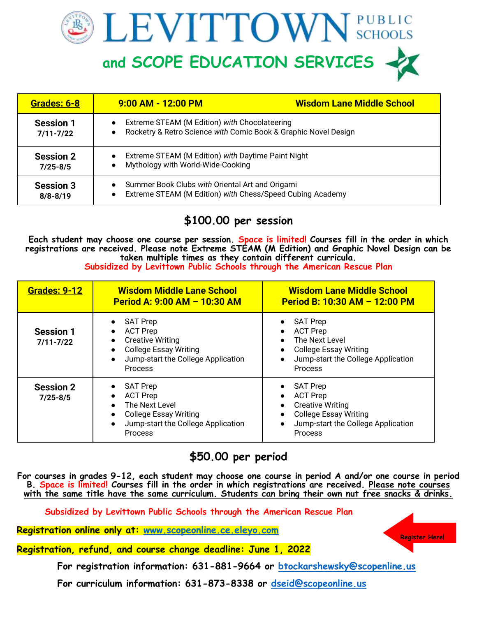LEVITTOWN SCHOOLS

**and SCOPE EDUCATION SERVICES**



## **\$100.00 per session**

**Each student may choose one course per session. Space is limited! Courses fill in the order in which registrations are received. Please note Extreme STEAM (M Edition) and Graphic Novel Design can be taken multiple times as they contain different curricula.** 

| Subsidized by Levittown Public Schools through the American Rescue Plan |                                                                                                                                                                    |                                                                                                                                                                        |  |
|-------------------------------------------------------------------------|--------------------------------------------------------------------------------------------------------------------------------------------------------------------|------------------------------------------------------------------------------------------------------------------------------------------------------------------------|--|
| <b>Grades: 9-12</b>                                                     | <b>Wisdom Middle Lane School</b><br>Period A: 9:00 AM - 10:30 AM                                                                                                   | <b>Wisdom Lane Middle School</b><br>Period B: 10:30 AM - 12:00 PM                                                                                                      |  |
| <b>Session 1</b><br>$7/11 - 7/22$                                       | <b>SAT Prep</b><br><b>ACT Prep</b><br><b>Creative Writing</b><br><b>College Essay Writing</b><br>$\bullet$<br>Jump-start the College Application<br><b>Process</b> | <b>SAT Prep</b><br><b>ACT Prep</b><br>The Next Level<br><b>College Essay Writing</b><br>$\bullet$<br>Jump-start the College Application<br>$\bullet$<br><b>Process</b> |  |
| <b>Session 2</b><br>$7/25 - 8/5$                                        | <b>SAT Prep</b><br><b>ACT Prep</b><br>The Next Level<br>$\bullet$<br><b>College Essay Writing</b><br>$\bullet$<br>Jump-start the College Application               | <b>SAT Prep</b><br><b>ACT Prep</b><br><b>Creative Writing</b><br>$\bullet$<br><b>College Essay Writing</b><br>Jump-start the College Application                       |  |

## **\$50.00 per period**

Process

**For courses in grades 9-12, each student may choose one course in period A and/or one course in period B. Space is limited! Courses fill in the order in which registrations are received. Please note courses with the same title have the same curriculum. Students can bring their own nut free snacks & drinks.** 

**Subsidized by Levittown Public Schools through the American Rescue Plan**

**Registration online only at: [www.scopeonline.ce.eleyo.com](http://www.scopeonline.ce.eleyo.com/)**

Process

**Registration, refund, and course change deadline: June 1, 2022**

 **For registration information: 631-881-9664 or [btockarshewsky@scopenline.us](mailto:btockarshewsky@scopenline.us)**

 **For curriculum information: 631-873-8338 or [dseid@scopeonline.us](mailto:dseid@scopeonline.us)**

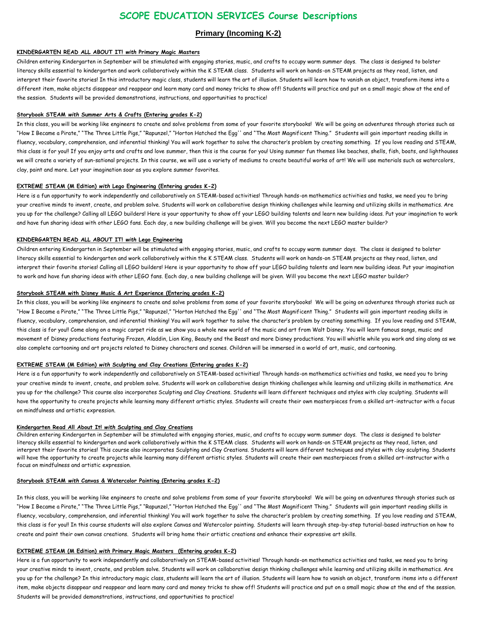### **SCOPE EDUCATION SERVICES Course Descriptions**

#### **Primary (Incoming K-2)**

#### **KINDERGARTEN READ ALL ABOUT IT!** *with* **Primary Magic Masters**

Children entering Kindergarten in September will be stimulated with engaging stories, music, and crafts to occupy warm summer days. The class is designed to bolster literacy skills essential to kindergarten and work collaboratively within the K STEAM class. Students will work on hands-on STEAM projects as they read, listen, and interpret their favorite stories! In this introductory magic class, students will learn the art of illusion. Students will learn how to vanish an object, transform items into a different item, make objects disappear and reappear and learn many card and money tricks to show off! Students will practice and put on a small magic show at the end of the session. Students will be provided demonstrations, instructions, and opportunities to practice!

#### **Storybook STEAM** *with* **Summer Arts & Crafts (Entering grades K-2)**

In this class, you will be working like engineers to create and solve problems from some of your favorite storybooks! We will be going on adventures through stories such as "How I Became a Pirate," "The Three Little Pigs," "Rapunzel," "Horton Hatched the Egg'' and "The Most Magnificent Thing." Students will gain important reading skills in fluency, vocabulary, comprehension, and inferential thinking! You will work together to solve the character's problem by creating something. If you love reading and STEAM, this class is for you!! If you enjoy arts and crafts and love summer, then this is the course for you! Using summer fun themes like beaches, shells, fish, boats, and lighthouses we will create a variety of sun-sational projects. In this course, we will use a variety of mediums to create beautiful works of art! We will use materials such as watercolors, clay, paint and more. Let your imagination soar as you explore summer favorites.

#### **EXTREME STEAM (M Edition)** *with* **Lego Engineering (Entering grades K-2)**

Here is a fun opportunity to work independently and collaboratively on STEAM-based activities! Through hands-on mathematics activities and tasks, we need you to bring your creative minds to invent, create, and problem solve. Students will work on collaborative design thinking challenges while learning and utilizing skills in mathematics. Are you up for the challenge? Calling all LEGO builders! Here is your opportunity to show off your LEGO building talents and learn new building ideas. Put your imagination to work and have fun sharing ideas with other LEGO fans. Each day, a new building challenge will be given. Will you become the next LEGO master builder?

#### **KINDERGARTEN READ ALL ABOUT IT!** *with* **Lego Engineering**

Children entering Kindergarten in September will be stimulated with engaging stories, music, and crafts to occupy warm summer days. The class is designed to bolster literacy skills essential to kindergarten and work collaboratively within the K STEAM class. Students will work on hands-on STEAM projects as they read, listen, and interpret their favorite stories! Calling all LEGO builders! Here is your opportunity to show off your LEGO building talents and learn new building ideas. Put your imagination to work and have fun sharing ideas with other LEGO fans. Each day, a new building challenge will be given. Will you become the next LEGO master builder?

#### **Storybook STEAM with Disney Music & Art Experience (Entering grades K-2)**

In this class, you will be working like engineers to create and solve problems from some of your favorite storybooks! We will be going on adventures through stories such as "How I Became a Pirate," "The Three Little Pigs," "Rapunzel," "Horton Hatched the Egg'' and "The Most Magnificent Thing." Students will gain important reading skills in fluency, vocabulary, comprehension, and inferential thinking! You will work together to solve the character's problem by creating something. If you love reading and STEAM, this class is for you!! Come along on a magic carpet ride as we show you a whole new world of the music and art from Walt Disney. You will learn famous songs, music and movement of Disney productions featuring Frozen, Aladdin, Lion King, Beauty and the Beast and more Disney productions. You will whistle while you work and sing along as we also complete cartooning and art projects related to Disney characters and scenes. Children will be immersed in a world of art, music, and cartooning.

#### **EXTREME STEAM (M Edition)** *with* **Sculpting and Clay Creations (Entering grades K-2)**

Here is a fun opportunity to work independently and collaboratively on STEAM-based activities! Through hands-on mathematics activities and tasks, we need you to bring your creative minds to invent, create, and problem solve. Students will work on collaborative design thinking challenges while learning and utilizing skills in mathematics. Are you up for the challenge? This course also incorporates Sculpting and Clay Creations. Students will learn different techniques and styles with clay sculpting. Students will have the opportunity to create projects while learning many different artistic styles. Students will create their own masterpieces from a skilled art-instructor with a focus on mindfulness and artistic expression.

#### **Kindergarten Read All About It!** *with* **Sculpting and Clay Creations**

Children entering Kindergarten in September will be stimulated with engaging stories, music, and crafts to occupy warm summer days. The class is designed to bolster literacy skills essential to kindergarten and work collaboratively within the K STEAM class. Students will work on hands-on STEAM projects as they read, listen, and interpret their favorite stories! This course also incorporates Sculpting and Clay Creations. Students will learn different techniques and styles with clay sculpting. Students will have the opportunity to create projects while learning many different artistic styles. Students will create their own masterpieces from a skilled art-instructor with a focus on mindfulness and artistic expression.

#### **Storybook STEAM** *with* **Canvas & Watercolor Painting (Entering grades K-2)**

In this class, you will be working like engineers to create and solve problems from some of your favorite storybooks! We will be going on adventures through stories such as "How I Became a Pirate," "The Three Little Pigs," "Rapunzel," "Horton Hatched the Egg'' and "The Most Magnificent Thing." Students will gain important reading skills in fluency, vocabulary, comprehension, and inferential thinking! You will work together to solve the character's problem by creating something. If you love reading and STEAM, this class is for you!! In this course students will also explore Canvas and Watercolor painting. Students will learn through step-by-step tutorial-based instruction on how to create and paint their own canvas creations. Students will bring home their artistic creations and enhance their expressive art skills.

#### **EXTREME STEAM (M Edition)** *with* **Primary Magic Masters (Entering grades K-2)**

Here is a fun opportunity to work independently and collaboratively on STEAM-based activities! Through hands-on mathematics activities and tasks, we need you to bring your creative minds to invent, create, and problem solve. Students will work on collaborative design thinking challenges while learning and utilizing skills in mathematics. Are you up for the challenge? In this introductory magic class, students will learn the art of illusion. Students will learn how to vanish an object, transform items into a different item, make objects disappear and reappear and learn many card and money tricks to show off! Students will practice and put on a small magic show at the end of the session. Students will be provided demonstrations, instructions, and opportunities to practice!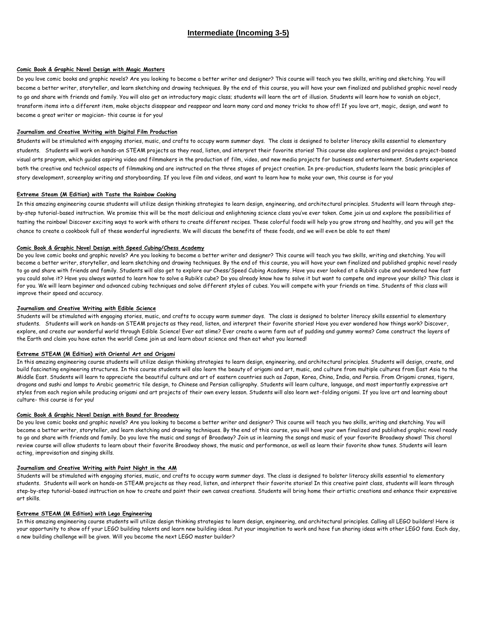#### **Intermediate (Incoming 3-5)**

#### **Comic Book & Graphic Novel Design** *with* **Magic Masters**

Do you love comic books and graphic novels? Are you looking to become a better writer and designer? This course will teach you two skills, writing and sketching. You will become a better writer, storyteller, and learn sketching and drawing techniques. By the end of this course, you will have your own finalized and published graphic novel ready to go and share with friends and family. You will also get an introductory magic class; students will learn the art of illusion. Students will learn how to vanish an object, transform items into a different item, make objects disappear and reappear and learn many card and money tricks to show off! If you love art, magic, design, and want to become a great writer or magician- this course is for you!

#### **Journalism and Creative Writing** *with* **Digital Film Production**

**S**tudents will be stimulated with engaging stories, music, and crafts to occupy warm summer days. The class is designed to bolster literacy skills essential to elementary students. Students will work on hands-on STEAM projects as they read, listen, and interpret their favorite stories! This course also explores and provides a project-based visual arts program, which guides aspiring video and filmmakers in the production of film, video, and new media projects for business and entertainment. Students experience both the creative and technical aspects of filmmaking and are instructed on the three stages of project creation. In pre-production, students learn the basic principles of story development, screenplay writing and storyboarding. If you love film and videos, and want to learn how to make your own, this course is for you!

#### **Extreme Steam (M Edition)** *with* **Taste the Rainbow Cooking**

In this amazing engineering course students will utilize design thinking strategies to learn design, engineering, and architectural principles. Students will learn through stepby-step tutorial-based instruction. We promise this will be the most delicious and enlightening science class you've ever taken. Come join us and explore the possibilities of tasting the rainbow! Discover exciting ways to work with others to create different recipes. These colorful foods will help you grow strong and healthy, and you will get the chance to create a cookbook full of these wonderful ingredients. We will discuss the benefits of these foods, and we will even be able to eat them!

#### **Comic Book & Graphic Novel Design** *with* **Speed Cubing/Chess Academy**

Do you love comic books and graphic novels? Are you looking to become a better writer and designer? This course will teach you two skills, writing and sketching. You will become a better writer, storyteller, and learn sketching and drawing techniques. By the end of this course, you will have your own finalized and published graphic novel ready to go and share with friends and family. Students will also get to explore our Chess/Speed Cubing Academy. Have you ever looked at a Rubik's cube and wondered how fast you could solve it? Have you always wanted to learn how to solve a Rubik's cube? Do you already know how to solve it but want to compete and improve your skills? This class is for you. We will learn beginner and advanced cubing techniques and solve different styles of cubes. You will compete with your friends on time. Students of this class will improve their speed and accuracy.

#### **Journalism and Creative Writing** *with* **Edible Science**

Students will be stimulated with engaging stories, music, and crafts to occupy warm summer days. The class is designed to bolster literacy skills essential to elementary students. Students will work on hands-on STEAM projects as they read, listen, and interpret their favorite stories! Have you ever wondered how things work? Discover, explore, and create our wonderful world through Edible Science! Ever eat slime? Ever create a worm farm out of pudding and gummy worms? Come construct the layers of the Earth and claim you have eaten the world! Come join us and learn about science and then eat what you learned!

#### **Extreme STEAM (M Edition)** *with* **Oriental Art and Origami**

In this amazing engineering course students will utilize design thinking strategies to learn design, engineering, and architectural principles. Students will design, create, and build fascinating engineering structures. In this course students will also learn the beauty of origami and art, music, and culture from multiple cultures from East Asia to the Middle East. Students will learn to appreciate the beautiful culture and art of eastern countries such as Japan, Korea, China, India, and Persia. From Origami cranes, tigers, dragons and sushi and lamps to Arabic geometric tile design, to Chinese and Persian calligraphy. Students will learn culture, language, and most importantly expressive art styles from each region while producing origami and art projects of their own every lesson. Students will also learn wet-folding origami. If you love art and learning about culture- this course is for you!

#### **Comic Book & Graphic Novel Design** *with* **Bound for Broadway**

Do you love comic books and graphic novels? Are you looking to become a better writer and designer? This course will teach you two skills, writing and sketching. You will become a better writer, storyteller, and learn sketching and drawing techniques. By the end of this course, you will have your own finalized and published graphic novel ready to go and share with friends and family. Do you love the music and songs of Broadway? Join us in learning the songs and music of your favorite Broadway shows! This choral review course will allow students to learn about their favorite Broadway shows, the music and performance, as well as learn their favorite show tunes. Students will learn acting, improvisation and singing skills.

#### **Journalism and Creative Writing** *with* **Paint Night in the AM**

Students will be stimulated with engaging stories, music, and crafts to occupy warm summer days. The class is designed to bolster literacy skills essential to elementary students. Students will work on hands-on STEAM projects as they read, listen, and interpret their favorite stories! In this creative paint class, students will learn through step-by-step tutorial-based instruction on how to create and paint their own canvas creations. Students will bring home their artistic creations and enhance their expressive art skills.

#### **Extreme STEAM (M Edition)** *with* **Lego Engineering**

In this amazing engineering course students will utilize design thinking strategies to learn design, engineering, and architectural principles. Calling all LEGO builders! Here is your opportunity to show off your LEGO building talents and learn new building ideas. Put your imagination to work and have fun sharing ideas with other LEGO fans. Each day, a new building challenge will be given. Will you become the next LEGO master builder?